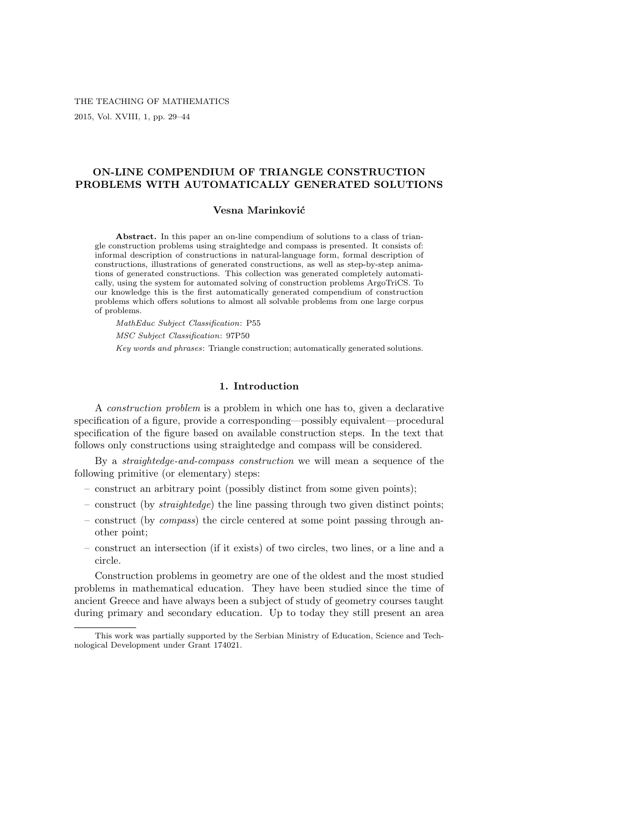THE TEACHING OF MATHEMATICS 2015, Vol. XVIII, 1, pp. 29–44

# ON-LINE COMPENDIUM OF TRIANGLE CONSTRUCTION PROBLEMS WITH AUTOMATICALLY GENERATED SOLUTIONS

### Vesna Marinković

Abstract. In this paper an on-line compendium of solutions to a class of triangle construction problems using straightedge and compass is presented. It consists of: informal description of constructions in natural-language form, formal description of constructions, illustrations of generated constructions, as well as step-by-step animations of generated constructions. This collection was generated completely automatically, using the system for automated solving of construction problems ArgoTriCS. To our knowledge this is the first automatically generated compendium of construction problems which offers solutions to almost all solvable problems from one large corpus of problems.

MathEduc Subject Classification: P55

MSC Subject Classification: 97P50

Key words and phrases: Triangle construction; automatically generated solutions.

### 1. Introduction

A construction problem is a problem in which one has to, given a declarative specification of a figure, provide a corresponding—possibly equivalent—procedural specification of the figure based on available construction steps. In the text that follows only constructions using straightedge and compass will be considered.

By a straightedge-and-compass construction we will mean a sequence of the following primitive (or elementary) steps:

- construct an arbitrary point (possibly distinct from some given points);
- construct (by straightedge) the line passing through two given distinct points;
- construct (by compass) the circle centered at some point passing through another point;
- construct an intersection (if it exists) of two circles, two lines, or a line and a circle.

Construction problems in geometry are one of the oldest and the most studied problems in mathematical education. They have been studied since the time of ancient Greece and have always been a subject of study of geometry courses taught during primary and secondary education. Up to today they still present an area

This work was partially supported by the Serbian Ministry of Education, Science and Technological Development under Grant 174021.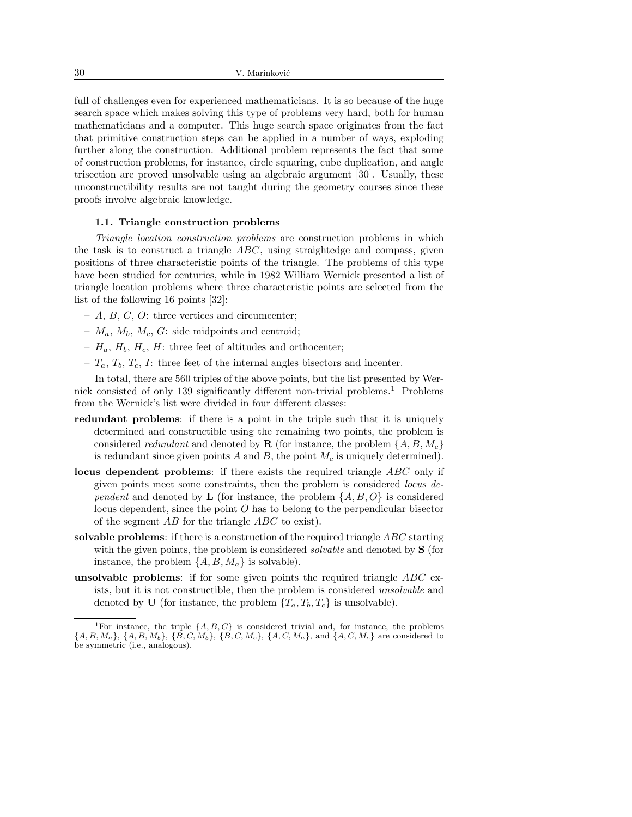full of challenges even for experienced mathematicians. It is so because of the huge search space which makes solving this type of problems very hard, both for human mathematicians and a computer. This huge search space originates from the fact that primitive construction steps can be applied in a number of ways, exploding further along the construction. Additional problem represents the fact that some of construction problems, for instance, circle squaring, cube duplication, and angle trisection are proved unsolvable using an algebraic argument [30]. Usually, these unconstructibility results are not taught during the geometry courses since these proofs involve algebraic knowledge.

#### 1.1. Triangle construction problems

Triangle location construction problems are construction problems in which the task is to construct a triangle  $ABC$ , using straightedge and compass, given positions of three characteristic points of the triangle. The problems of this type have been studied for centuries, while in 1982 William Wernick presented a list of triangle location problems where three characteristic points are selected from the list of the following 16 points [32]:

- $A, B, C, O$ : three vertices and circumcenter;
- $M_a$ ,  $M_b$ ,  $M_c$ ,  $G$ : side midpoints and centroid;
- $H_a$ ,  $H_b$ ,  $H_c$ ,  $H$ : three feet of altitudes and orthocenter;
- $T_a$ ,  $T_b$ ,  $T_c$ ,  $I$ : three feet of the internal angles bisectors and incenter.

In total, there are 560 triples of the above points, but the list presented by Wernick consisted of only 139 significantly different non-trivial problems.<sup>1</sup> Problems from the Wernick's list were divided in four different classes:

- redundant problems: if there is a point in the triple such that it is uniquely determined and constructible using the remaining two points, the problem is considered *redundant* and denoted by **R** (for instance, the problem  $\{A, B, M_c\}$ ) is redundant since given points  $A$  and  $B$ , the point  $M_c$  is uniquely determined).
- locus dependent problems: if there exists the required triangle ABC only if given points meet some constraints, then the problem is considered locus dependent and denoted by **L** (for instance, the problem  $\{A, B, O\}$  is considered locus dependent, since the point  $O$  has to belong to the perpendicular bisector of the segment AB for the triangle ABC to exist).
- solvable problems: if there is a construction of the required triangle ABC starting with the given points, the problem is considered *solvable* and denoted by **S** (for instance, the problem  $\{A, B, M_a\}$  is solvable).
- unsolvable problems: if for some given points the required triangle  $ABC$  exists, but it is not constructible, then the problem is considered unsolvable and denoted by U (for instance, the problem  $\{T_a, T_b, T_c\}$  is unsolvable).

<sup>&</sup>lt;sup>1</sup>For instance, the triple  $\{A, B, C\}$  is considered trivial and, for instance, the problems  $\{A, B, M_a\}, \{A, B, M_b\}, \{B, C, M_b\}, \{B, C, M_c\}, \{A, C, M_a\}, \text{and } \{A, C, M_c\}$  are considered to be symmetric (i.e., analogous).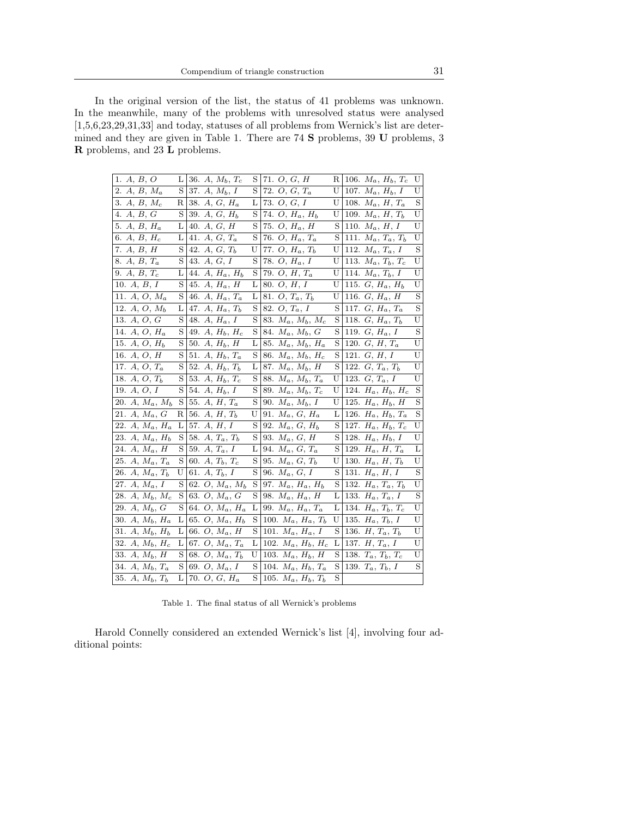In the original version of the list, the status of 41 problems was unknown. In the meanwhile, many of the problems with unresolved status were analysed [1,5,6,23,29,31,33] and today, statuses of all problems from Wernick's list are determined and they are given in Table 1. There are 74 S problems, 39 U problems, 3 R problems, and 23 L problems.

| 1. $A, B, O$                   | L | 36. $A, M_b, T_c$         | S | 71. $O, G, H$              | R | 106. $M_a$ , $H_b$ , $T_c$ | U |
|--------------------------------|---|---------------------------|---|----------------------------|---|----------------------------|---|
| $A, B, M_a$<br>2.              | S | 37. $A, M_b, I$           | S | 72. $O, G, T_a$            | U | 107. $M_a$ , $H_b$ , I     | U |
| $A, B, M_c$<br>3.              | R | 38. $A, G, H_a$           | L | 73. O, G, I                | U | 108. $M_a$ , $H$ , $T_a$   | S |
| 4. $A, B, G$                   | S | 39. $A, G, H_b$           | S | 74. $O, H_a, H_b$          | U | 109. $M_a, H, T_b$         | U |
| 5. $A, B, H_a$                 | L | 40. $A, G, H$             | S | 75. $O, H_a, H$            | S | 110. $M_a, H, I$           | U |
| 6. A, B, $H_c$                 | L | 41. $A, G, T_a$           | S | 76. $O, H_a, T_a$          | S | 111. $M_a, T_a, T_b$       | U |
| 7. $A, B, H$                   | S | 42. $A, G, T_b$           | U | 77. $O, H_a, T_b$          | U | 112. $M_a, T_a, I$         | S |
| 8. A, B, Ta                    | S | 43. $A, G, I$             | S | 78. $O, H_a, I$            | U | 113. $M_a, T_b, T_c$       | U |
| 9. A, $B, T_c$                 | L | $A, H_a, H_b$<br>44.      | S | 79. $O, H, T_a$            | U | 114. $M_a, T_b, I$         | U |
| 10. $A, B, I$                  | S | $A, H_a, H$<br>45.        | L | 80. $O, H, I$              | U | 115. $G, H_a, H_b$         | U |
| 11. A, O, Ma                   | S | $A, H_a, T_a$<br>46.      | L | 81. $O, T_a, T_b$          | U | 116. $G, H_a, H$           | S |
| $12. A, O, M_b$                | L | 47. A, $H_a, T_b$         | S | 82. $O, T_a, I$            | S | 117. $G, H_a, T_a$         | S |
| 13. $A, O, G$                  | S | 48. $A, H_a, I$           | S | 83. $M_a$ , $M_b$ , $M_c$  | S | 118. $G, H_a, T_b$         | U |
| 14. A, $O, H_a$                | S | 49. $A, H_b, H_c$         | S | 84. $M_a$ , $M_b$ , $G$    | S | 119. $G, H_a, I$           | S |
| 15. $A, O, H_b$                | S | 50. $A, H_b, H$           | L | 85. $M_a, M_b, H_a$        | S | 120. $G, H, T_a$           | U |
| 16. $A, O, H$                  | S | 51. $A, H_b, T_a$         | S | 86. $M_a, M_b, H_c$        | S | 121. $G, H, I$             | U |
| 17. $A, O, T_a$                | S | 52.<br>$A, H_b, T_b$      | L | 87. $M_a$ , $M_b$ , $H$    | S | 122. $G, T_a, T_b$         | U |
| 18. $A, O, T_b$                | S | 53.<br>$A, H_b, T_c$      | S | 88. $M_a$ , $M_b$ , $T_a$  | U | 123. $G, T_a, I$           | U |
| 19. $A, O, I$                  | S | 54. $A, H_b, I$           | S | 89. $M_a, M_b, T_c$        | U | 124. $H_a$ , $H_b$ , $H_c$ | S |
| 20. $A, M_a, M_b$              | S | $A, H, T_a$<br>55.        | S | 90. $M_a, M_b, I$          | U | 125. $H_a$ , $H_b$ , $H$   | S |
| 21. A, $M_a$ , $G$             | R | 56. A, H, $T_b$           | U | 91. $M_a, G, H_a$          | L | 126. $H_a$ , $H_b$ , $T_a$ | S |
| 22. $A, M_a, H_a$              | L | 57. $A, H, I$             | S | 92. $M_a, G, H_b$          | S | 127. $H_a$ , $H_b$ , $T_c$ | U |
| 23. A, $M_a$ , $H_b$           | S | $A, T_a, T_b$<br>58.      | S | 93. $M_a, G, H$            | S | 128. $H_a$ , $H_b$ , I     | U |
| 24. $A, M_a, H$                | S | $A, T_a, I$<br>59.        | L | 94. $M_a, G, T_a$          | S | 129. $H_a$ , $H$ , $T_a$   | L |
| 25. A, $M_a, T_a$              | S | 60. $A, T_b, T_c$         | S | 95. $M_a, G, T_b$          | U | 130. $H_a$ , $H$ , $T_b$   | U |
| 26. $A, M_a, T_b$              | U | 61.<br>$A, T_b, I$        | S | 96. $M_a, G, I$            | S | 131. $H_a$ , $H$ , $I$     | S |
| 27. $A, M_a, I$                | S | 62. $O, M_a, M_b$         | S | 97. $M_a$ , $H_a$ , $H_b$  | S | 132. $H_a, T_a, T_b$       | U |
| 28. A, $M_b$ , $M_c$           | S | 63. O, M <sub>a</sub> , G | S | 98. $M_a$ , $H_a$ , $H$    | L | 133. $H_a, T_a, I$         | S |
| 29. $A, M_b, G$                | S | 64. $O, M_a, H_a$         | L | 99. $M_a$ , $H_a$ , $T_a$  | L | 134. $H_a, T_b, T_c$       | U |
| 30. A, $M_b$ , $H_a$           | L | 65. $O, M_a, H_b$         | S | 100. $M_a$ , $H_a$ , $T_b$ | U | 135. $H_a, T_b, I$         | U |
| 31. $A, M_b, H_b$              | L | 66. $O, M_a, H$           | S | 101. $M_a$ , $H_a$ , I     | S | 136. $H, T_a, T_b$         | U |
| 32. A, $M_b$ , $H_c$           | L | 67. $O, M_a, T_a$         | L | 102. $M_a$ , $H_b$ , $H_c$ | L | 137. $H, T_a, I$           | U |
| $\overline{33}$ . A, $M_b$ , H | S | 68. $O, M_a, T_b$         | U | 103. $M_a$ , $H_b$ , $H$   | S | 138. $T_a, T_b, T_c$       | U |
| 34. $A, M_b, T_a$              | S | 69. $O, M_a, I$           | S | 104. $M_a$ , $H_b$ , $T_a$ | S | 139. $T_a, T_b, I$         | S |
| 35. $A, M_b, T_b$              | L | 70. $O, G, H_a$           | S | 105. $M_a$ , $H_b$ , $T_b$ | S |                            |   |

Table 1. The final status of all Wernick's problems

Harold Connelly considered an extended Wernick's list [4], involving four additional points: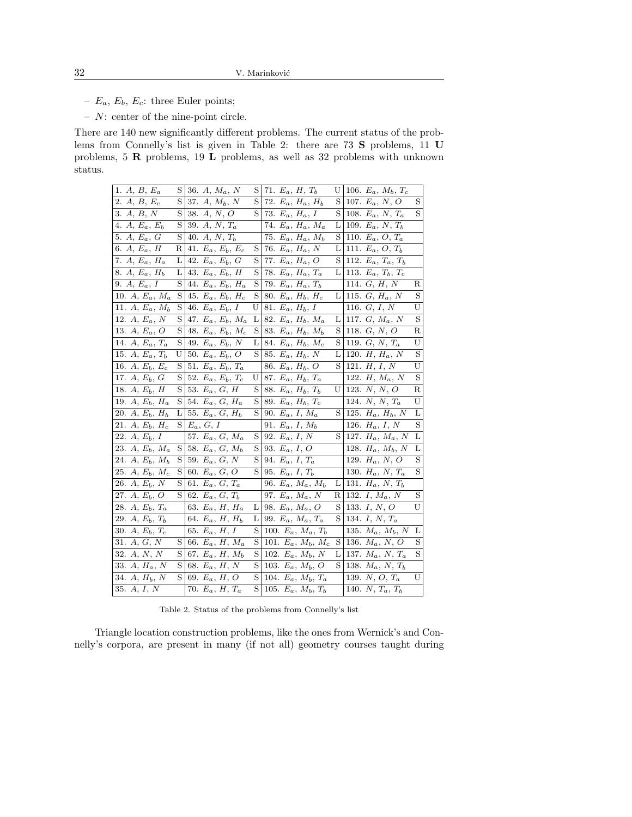- $E_a$ ,  $E_b$ ,  $E_c$ : three Euler points;
- N: center of the nine-point circle.

There are 140 new significantly different problems. The current status of the problems from Connelly's list is given in Table 2: there are 73 S problems, 11 U problems, 5 R problems, 19 L problems, as well as 32 problems with unknown status.

| 1. A, B, $E_a$                     | S | 36. A, $M_a$ , N        | S        | 71. $E_a$ , $H$ , $T_b$    | U | 106. $E_a$ , $M_b$ , $T_c$ |         |
|------------------------------------|---|-------------------------|----------|----------------------------|---|----------------------------|---------|
| 2. $A, B, E_c$                     | S | 37. $A, M_b, N$         | S        | 72. $E_a$ , $H_a$ , $H_b$  | S | 107. $E_a$ , N, O          | S       |
| 3. $A, B, N$                       | S | 38. $A, N, O$           | S        | 73. $E_a$ , $H_a$ , I      | S | 108. $E_a$ , N, $T_a$      | S       |
| 4. $A, E_a, E_b$                   | S | 39. $A, N, T_a$         |          | 74. $E_a$ , $H_a$ , $M_a$  | L | 109. $E_a$ , N, $T_b$      |         |
| 5. $A, E_a, G$                     | S | 40. A, N, $T_b$         |          | 75. $E_a$ , $H_a$ , $M_b$  | S | 110. $E_a$ , $O$ , $T_a$   |         |
| 6. A, $E_a$ , H                    | R | 41. $E_a, E_b, E_c$     | S        | 76. $E_a$ , $H_a$ , N      | L | 111. $E_a$ , $O$ , $T_b$   |         |
| 7. A, $E_a$ , $H_a$                | L | 42. $E_a, E_b, G$       | S        | 77. $E_a$ , $H_a$ , $O$    | S | 112. $E_a, T_a, T_b$       |         |
| 8. A, $E_a$ , $H_b$                | L | 43. $E_a, E_b, H$       | S        | 78. $E_a$ , $H_a$ , $T_a$  | L | 113. $E_a, T_b, T_c$       |         |
| $\overline{9}$ . A, $E_a$ , I      | S | 44. $E_a, E_b, H_a$     | S        | 79. $E_a$ , $H_a$ , $T_b$  |   | 114. $G, H, N$             | R       |
| 10. $A, E_a, M_a$                  | S | 45. $E_a, E_b, H_c$     | S        | 80. $E_a$ , $H_b$ , $H_c$  | L | 115. $G, H_a, N$           | S       |
| 11. $A, E_a, M_b$                  | S | 46. $E_a, E_b, I$       | U        | 81. $E_a$ , $H_b$ , I      |   | 116. $G, I, N$             | U       |
| 12. $A, E_a, N$                    | S | 47. $E_a, E_b, M_a$     | L        | 82. $E_a$ , $H_b$ , $M_a$  | L | 117. $G, M_a, N$           | S       |
| 13. A, $E_a$ , O                   | S | 48. $E_a, E_b, M_c$     | S        | 83. $E_a$ , $H_b$ , $M_b$  | S | 118. $G, N, O$             | R       |
| 14. $A, E_a, T_a$                  | S | 49. $E_a, E_b, N$       | L        | 84. $E_a$ , $H_b$ , $M_c$  | S | 119. $G, N, T_a$           | U       |
| 15. $A, E_a, T_b$                  | U | 50. $E_a, E_b, O$       | S        | 85. $E_a$ , $H_b$ , N      | L | 120. $H, H_a, N$           | S       |
| 16. $A, E_b, E_c$                  | S | 51. $E_a, E_b, T_a$     |          | 86. $E_a$ , $H_b$ , O      | S | 121. $H, I, N$             | U       |
| 17. $A, E_b, G$                    | S | 52. $E_a, E_b, T_c$     | U        | 87. $E_a$ , $H_b$ , $T_a$  |   | 122. $H, M_a, N$           | S       |
| 18. $A, E_b, H$                    | S | 53. $E_a$ , $G$ , $H$   | S        | 88. $E_a$ , $H_b$ , $T_b$  | U | 123. $N, N, O$             | R       |
| 19. $A, E_b, H_a$                  | S | 54. $E_a, G, H_a$       | S        | 89. $E_a$ , $H_b$ , $T_c$  |   | 124. $N, N, T_a$           | U       |
| 20. $A, E_b, H_b$                  | L | 55. $E_a, G, H_b$       | $S \mid$ | 90. $E_a$ , I, $M_a$       | S | 125. $H_a$ , $H_b$ , N     | L       |
| 21. $A, E_b, H_c$                  | S | $E_a, G, I$             |          | 91. $E_a$ , $I$ , $M_b$    |   | 126. $H_a$ , I, N          | S       |
| 22. $A, E_b, I$                    |   | 57. $E_a, G, M_a$       | S        | 92. $E_a$ , $I$ , $N$      | S | 127. $H_a$ , $M_a$ , N     | L       |
| 23. $A, E_b, M_a$                  | S | 58. $E_a, G, M_b$       | S        | 93. $E_a$ , $I$ , $O$      |   | 128. $H_a$ , $M_b$ , N     | L       |
| 24. $A, E_b, M_b$                  | S | 59. $E_a, G, N$         | S        | 94. $E_a$ , $I$ , $T_a$    |   | 129. $H_a$ , N, O          | $\rm S$ |
| 25. A, $E_b$ , $M_c$               | S | 60. $E_a, G, O$         | S        | 95. $E_a$ , $I$ , $T_b$    |   | 130. $H_a$ , N, $T_a$      | S       |
| 26. $A, E_b, N$                    | S | 61. $E_a$ , $G$ , $T_a$ |          | 96. $E_a$ , $M_a$ , $M_b$  | L | 131. $H_a$ , N, $T_b$      |         |
| 27. $A, E_b, O$                    | S | 62. $E_a$ , $G$ , $T_b$ |          | 97. $E_a$ , $M_a$ , N      | R | 132. $I, M_a, N$           | S       |
| 28. $A, E_b, T_a$                  |   | 63. $E_a$ , $H$ , $H_a$ | L        | 98. $E_a$ , $M_a$ , $O$    | S | 133. $I, N, O$             | U       |
| $\overline{29}$ . A, $E_b$ , $T_b$ |   | 64. $E_a$ , H, $H_b$    | L        | 99. $E_a$ , $M_a$ , $T_a$  | S | 134. $I, N, T_a$           |         |
| 30. $A, E_b, T_c$                  |   | 65. $E_a$ , $H$ , I     | S        | 100. $E_a$ , $M_a$ , $T_b$ |   | 135. $M_a$ , $M_b$ , N     | L       |
| 31. $A, G, N$                      | S | 66. $E_a$ , $H$ , $M_a$ | S        | 101. $E_a$ , $M_b$ , $M_c$ | S | 136. $M_a$ , N, O          | S       |
| 32. $A, N, N$                      | S | 67. $E_a$ , $H$ , $M_b$ | S        | 102. $E_a$ , $M_b$ , N     | L | 137. $M_a$ , N, $T_a$      | S       |
| 33. $A, H_a, N$                    | S | 68. $E_a$ , $H$ , $N$   | S        | 103. $E_a$ , $M_b$ , O     | S | 138. $M_a, N, T_b$         |         |
| $\overline{34. A}, H_b, N$         | S | 69. $E_a$ , $H$ , $O$   | S        | 104. $E_a$ , $M_b$ , $T_a$ |   | 139. $N, O, T_a$           | U       |
| 35. $A, I, N$                      |   | 70. $E_a$ , $H$ , $T_a$ | S        | 105. $E_a$ , $M_b$ , $T_b$ |   | 140. $N, T_a, T_b$         |         |

Table 2. Status of the problems from Connelly's list

Triangle location construction problems, like the ones from Wernick's and Connelly's corpora, are present in many (if not all) geometry courses taught during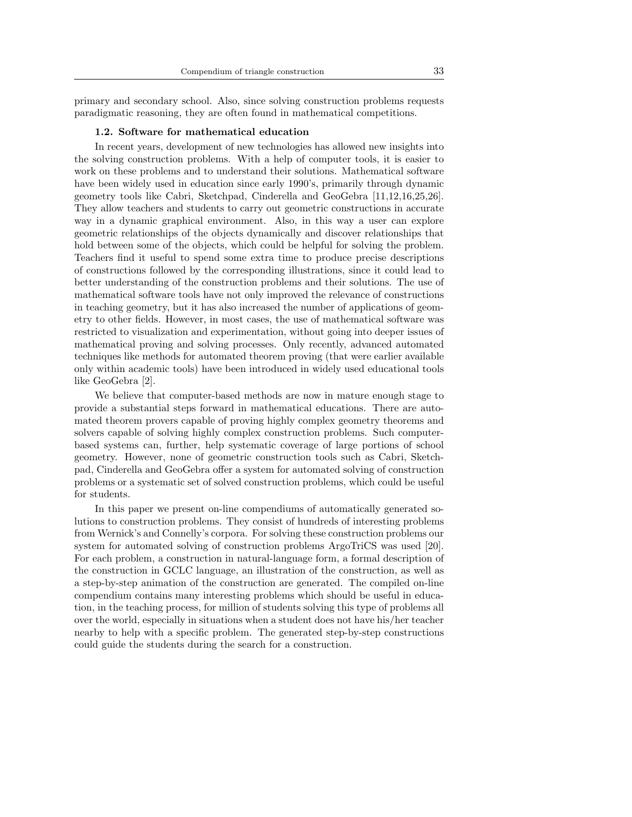primary and secondary school. Also, since solving construction problems requests paradigmatic reasoning, they are often found in mathematical competitions.

#### 1.2. Software for mathematical education

In recent years, development of new technologies has allowed new insights into the solving construction problems. With a help of computer tools, it is easier to work on these problems and to understand their solutions. Mathematical software have been widely used in education since early 1990's, primarily through dynamic geometry tools like Cabri, Sketchpad, Cinderella and GeoGebra [11,12,16,25,26]. They allow teachers and students to carry out geometric constructions in accurate way in a dynamic graphical environment. Also, in this way a user can explore geometric relationships of the objects dynamically and discover relationships that hold between some of the objects, which could be helpful for solving the problem. Teachers find it useful to spend some extra time to produce precise descriptions of constructions followed by the corresponding illustrations, since it could lead to better understanding of the construction problems and their solutions. The use of mathematical software tools have not only improved the relevance of constructions in teaching geometry, but it has also increased the number of applications of geometry to other fields. However, in most cases, the use of mathematical software was restricted to visualization and experimentation, without going into deeper issues of mathematical proving and solving processes. Only recently, advanced automated techniques like methods for automated theorem proving (that were earlier available only within academic tools) have been introduced in widely used educational tools like GeoGebra [2].

We believe that computer-based methods are now in mature enough stage to provide a substantial steps forward in mathematical educations. There are automated theorem provers capable of proving highly complex geometry theorems and solvers capable of solving highly complex construction problems. Such computerbased systems can, further, help systematic coverage of large portions of school geometry. However, none of geometric construction tools such as Cabri, Sketchpad, Cinderella and GeoGebra offer a system for automated solving of construction problems or a systematic set of solved construction problems, which could be useful for students.

In this paper we present on-line compendiums of automatically generated solutions to construction problems. They consist of hundreds of interesting problems from Wernick's and Connelly's corpora. For solving these construction problems our system for automated solving of construction problems ArgoTriCS was used [20]. For each problem, a construction in natural-language form, a formal description of the construction in GCLC language, an illustration of the construction, as well as a step-by-step animation of the construction are generated. The compiled on-line compendium contains many interesting problems which should be useful in education, in the teaching process, for million of students solving this type of problems all over the world, especially in situations when a student does not have his/her teacher nearby to help with a specific problem. The generated step-by-step constructions could guide the students during the search for a construction.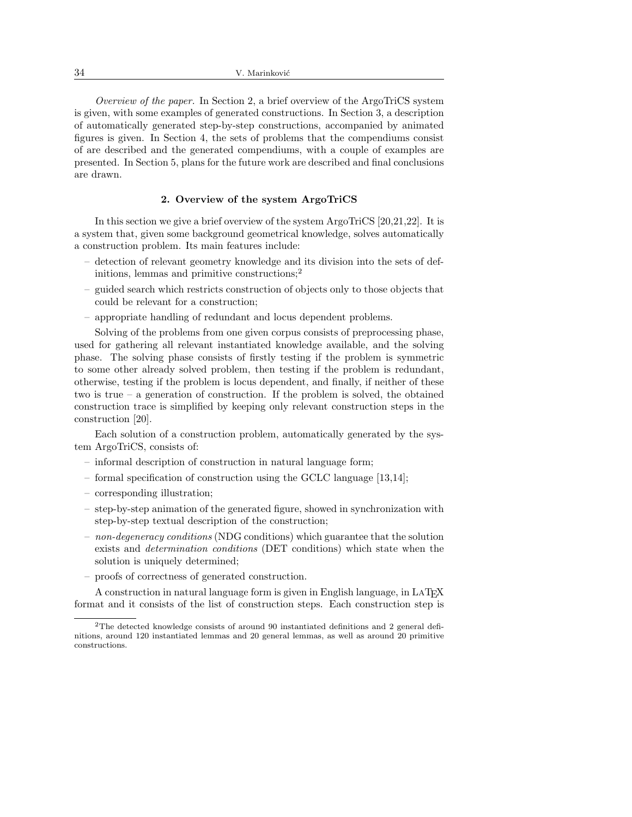Overview of the paper. In Section 2, a brief overview of the ArgoTriCS system is given, with some examples of generated constructions. In Section 3, a description of automatically generated step-by-step constructions, accompanied by animated figures is given. In Section 4, the sets of problems that the compendiums consist of are described and the generated compendiums, with a couple of examples are presented. In Section 5, plans for the future work are described and final conclusions are drawn.

## 2. Overview of the system ArgoTriCS

In this section we give a brief overview of the system ArgoTriCS [20,21,22]. It is a system that, given some background geometrical knowledge, solves automatically a construction problem. Its main features include:

- detection of relevant geometry knowledge and its division into the sets of definitions, lemmas and primitive constructions;<sup>2</sup>
- guided search which restricts construction of objects only to those objects that could be relevant for a construction;
- appropriate handling of redundant and locus dependent problems.

Solving of the problems from one given corpus consists of preprocessing phase, used for gathering all relevant instantiated knowledge available, and the solving phase. The solving phase consists of firstly testing if the problem is symmetric to some other already solved problem, then testing if the problem is redundant, otherwise, testing if the problem is locus dependent, and finally, if neither of these two is true – a generation of construction. If the problem is solved, the obtained construction trace is simplified by keeping only relevant construction steps in the construction [20].

Each solution of a construction problem, automatically generated by the system ArgoTriCS, consists of:

- informal description of construction in natural language form;
- formal specification of construction using the GCLC language [13,14];
- corresponding illustration;
- step-by-step animation of the generated figure, showed in synchronization with step-by-step textual description of the construction;
- $-$  non-degeneracy conditions (NDG conditions) which guarantee that the solution exists and determination conditions (DET conditions) which state when the solution is uniquely determined;
- proofs of correctness of generated construction.

A construction in natural language form is given in English language, in  $\text{LATEX}$ format and it consists of the list of construction steps. Each construction step is

<sup>2</sup>The detected knowledge consists of around 90 instantiated definitions and 2 general definitions, around 120 instantiated lemmas and 20 general lemmas, as well as around 20 primitive constructions.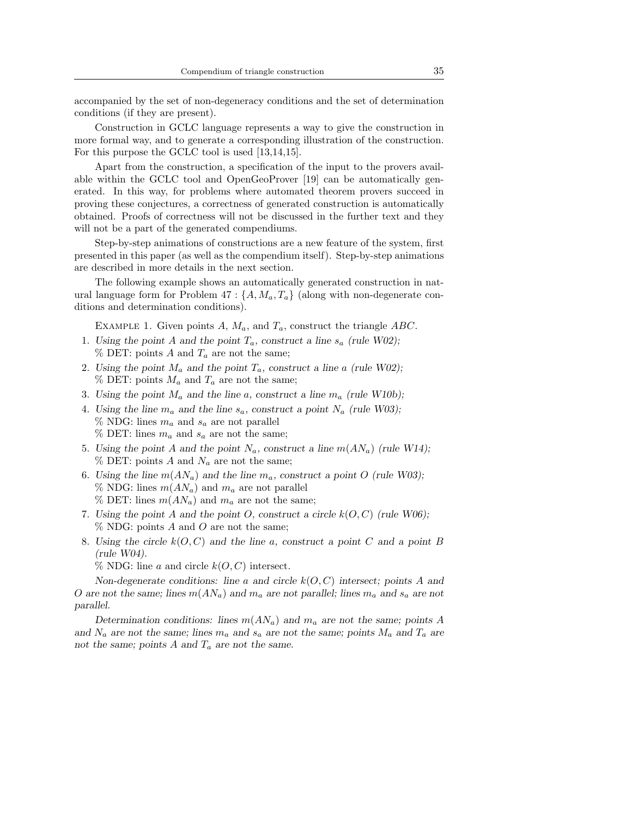accompanied by the set of non-degeneracy conditions and the set of determination conditions (if they are present).

Construction in GCLC language represents a way to give the construction in more formal way, and to generate a corresponding illustration of the construction. For this purpose the GCLC tool is used [13,14,15].

Apart from the construction, a specification of the input to the provers available within the GCLC tool and OpenGeoProver [19] can be automatically generated. In this way, for problems where automated theorem provers succeed in proving these conjectures, a correctness of generated construction is automatically obtained. Proofs of correctness will not be discussed in the further text and they will not be a part of the generated compendiums.

Step-by-step animations of constructions are a new feature of the system, first presented in this paper (as well as the compendium itself). Step-by-step animations are described in more details in the next section.

The following example shows an automatically generated construction in natural language form for Problem  $47:\{A, M_a, T_a\}$  (along with non-degenerate conditions and determination conditions).

EXAMPLE 1. Given points A,  $M_a$ , and  $T_a$ , construct the triangle ABC.

- 1. Using the point A and the point  $T_a$ , construct a line  $s_a$  (rule W02);  $\%$  DET: points A and  $T_a$  are not the same;
- 2. Using the point  $M_a$  and the point  $T_a$ , construct a line a (rule W02);  $\%$  DET: points  $M_a$  and  $T_a$  are not the same;
- 3. Using the point  $M_a$  and the line a, construct a line  $m_a$  (rule W10b);
- 4. Using the line  $m_a$  and the line  $s_a$ , construct a point  $N_a$  (rule W03);  $\%$  NDG: lines  $m_a$  and  $s_a$  are not parallel  $\%$  DET: lines  $m_a$  and  $s_a$  are not the same;
- 5. Using the point A and the point  $N_a$ , construct a line  $m(AN_a)$  (rule W14);  $\%$  DET: points A and  $N_a$  are not the same;
- 6. Using the line  $m(AN_a)$  and the line  $m_a$ , construct a point O (rule W03); % NDG: lines  $m(AN_a)$  and  $m_a$  are not parallel  $\%$  DET: lines  $m(AN_a)$  and  $m_a$  are not the same;
- 7. Using the point A and the point O, construct a circle  $k(O, C)$  (rule W06);  $\%$  NDG: points A and O are not the same;
- 8. Using the circle  $k(O, C)$  and the line a, construct a point C and a point B (rule W04).

 $\%$  NDG: line a and circle  $k(O, C)$  intersect.

Non-degenerate conditions: line a and circle  $k(O, C)$  intersect; points A and O are not the same; lines  $m(AN_a)$  and  $m_a$  are not parallel; lines  $m_a$  and  $s_a$  are not parallel.

Determination conditions: lines  $m(AN_a)$  and  $m_a$  are not the same; points A and  $N_a$  are not the same; lines  $m_a$  and  $s_a$  are not the same; points  $M_a$  and  $T_a$  are not the same; points A and  $T_a$  are not the same.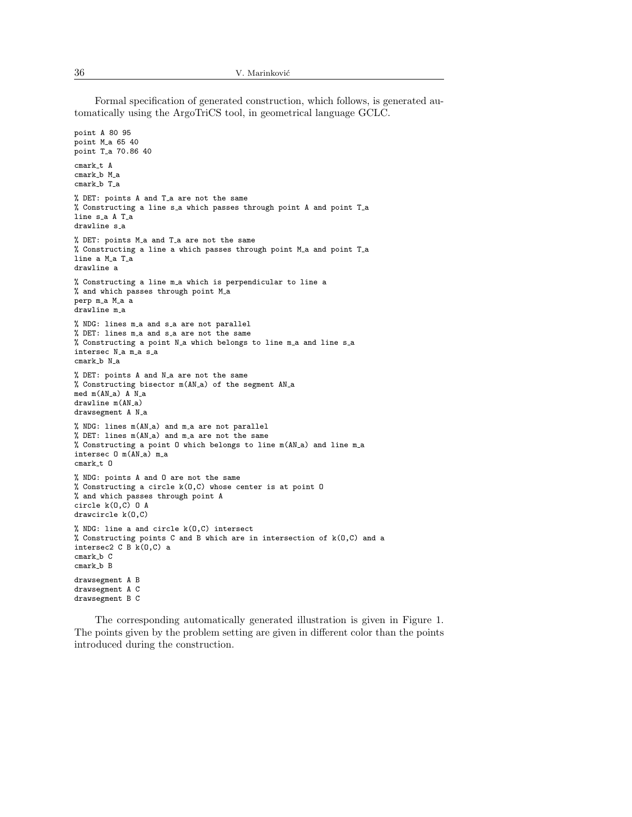Formal specification of generated construction, which follows, is generated automatically using the ArgoTriCS tool, in geometrical language GCLC.

```
point A 80 95
point M_a 65 40
point T<sub>-</sub>a 70.86 40
cmark_t A
cmark_b M_a
cmark_b T_a
% DET: points A and T a are not the same
% Constructing a line s_a which passes through point A and point T_a
line s_a A T_a
drawline s<sub>-</sub>a
% DET: points M_a and T_a are not the same
% Constructing a line a which passes through point M_a and point T_a
line a M_a T_a
drawline a
% Constructing a line m_a which is perpendicular to line a
% and which passes through point M_a
perp m_a M_a a
drawline m_a
% NDG: lines m_a and s_a are not parallel
% DET: lines m a and s a are not the same
% Constructing a point N_a which belongs to line m_a and line s_a
intersec N<sub>-</sub>a m<sub>-a</sub> s<sub>-a</sub>
cmark_b N_a% DET: points A and N<sub>-</sub>a are not the same
% Constructing bisector m(AN a) of the segment AN a
med m(AN_a) A N_a
drawline m(AN_a)
drawsegment A N_a
% NDG: lines m(AN a) and m a are not parallel
% DET: lines m(AN a) and m a are not the same
% Constructing a point O which belongs to line m(AN a) and line m a
intersec 0 m(AN_a) m_a
cmark_t 0
% NDG: points A and O are not the same
% Constructing a circle k(O,C) whose center is at point O
% and which passes through point A
circle k(O,C) O A
drawcircle k(O,C)
% NDG: line a and circle k(O,C) intersect
% Constructing points C and B which are in intersection of k(O,C) and a
intersec2 C B k(O,C) a
cmark_b Ccmark_b B
drawsegment A B
drawsegment A C
drawsegment B C
```
The corresponding automatically generated illustration is given in Figure 1. The points given by the problem setting are given in different color than the points introduced during the construction.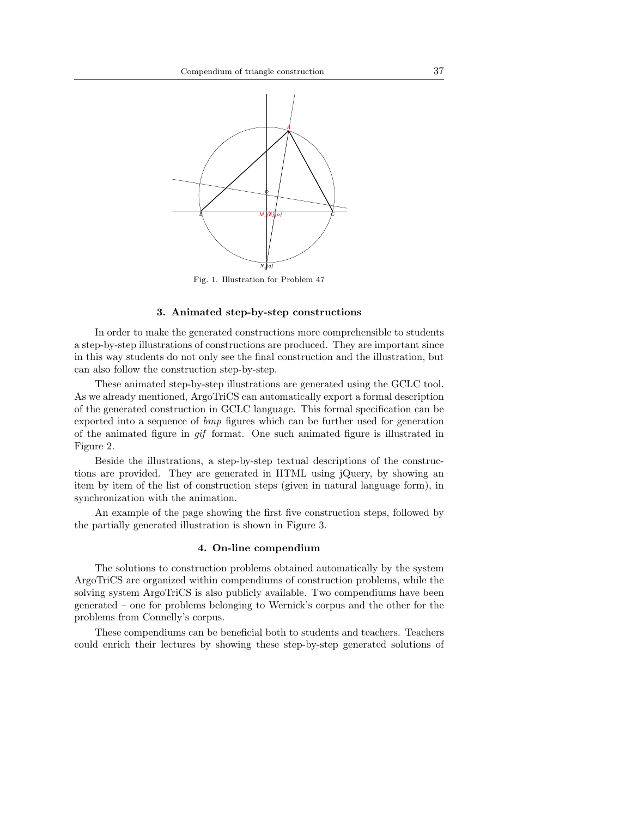

Fig. 1. Illustration for Problem 47

### 3. Animated step-by-step constructions

In order to make the generated constructions more comprehensible to students a step-by-step illustrations of constructions are produced. They are important since in this way students do not only see the final construction and the illustration, but can also follow the construction step-by-step.

These animated step-by-step illustrations are generated using the GCLC tool. As we already mentioned, ArgoTriCS can automatically export a formal description of the generated construction in GCLC language. This formal specification can be exported into a sequence of bmp figures which can be further used for generation of the animated figure in gif format. One such animated figure is illustrated in Figure 2.

Beside the illustrations, a step-by-step textual descriptions of the constructions are provided. They are generated in HTML using jQuery, by showing an item by item of the list of construction steps (given in natural language form), in synchronization with the animation.

An example of the page showing the first five construction steps, followed by the partially generated illustration is shown in Figure 3.

### 4. On-line compendium

The solutions to construction problems obtained automatically by the system ArgoTriCS are organized within compendiums of construction problems, while the solving system ArgoTriCS is also publicly available. Two compendiums have been generated – one for problems belonging to Wernick's corpus and the other for the problems from Connelly's corpus.

These compendiums can be beneficial both to students and teachers. Teachers could enrich their lectures by showing these step-by-step generated solutions of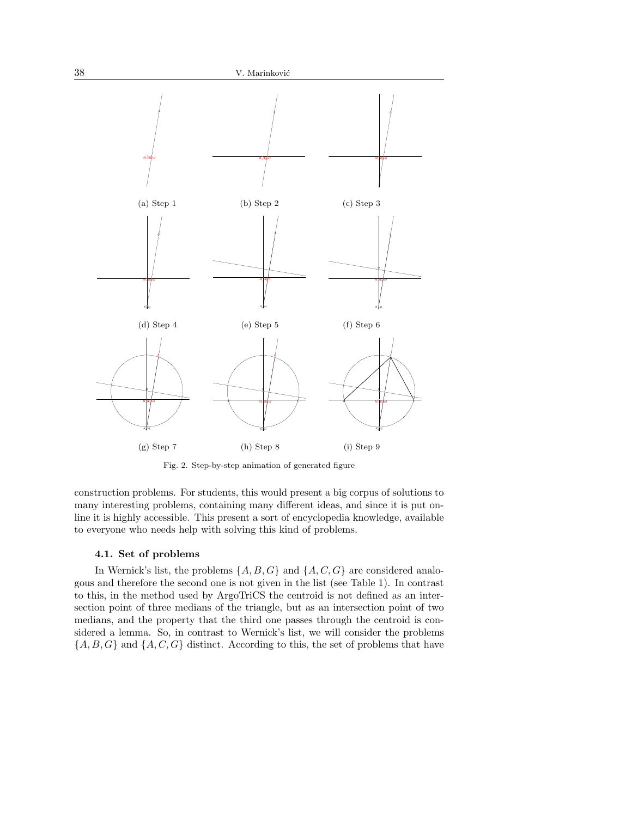

Fig. 2. Step-by-step animation of generated figure

construction problems. For students, this would present a big corpus of solutions to many interesting problems, containing many different ideas, and since it is put online it is highly accessible. This present a sort of encyclopedia knowledge, available to everyone who needs help with solving this kind of problems.

#### 4.1. Set of problems

In Wernick's list, the problems  $\{A, B, G\}$  and  $\{A, C, G\}$  are considered analogous and therefore the second one is not given in the list (see Table 1). In contrast to this, in the method used by ArgoTriCS the centroid is not defined as an intersection point of three medians of the triangle, but as an intersection point of two medians, and the property that the third one passes through the centroid is considered a lemma. So, in contrast to Wernick's list, we will consider the problems  ${A, B, G}$  and  ${A, C, G}$  distinct. According to this, the set of problems that have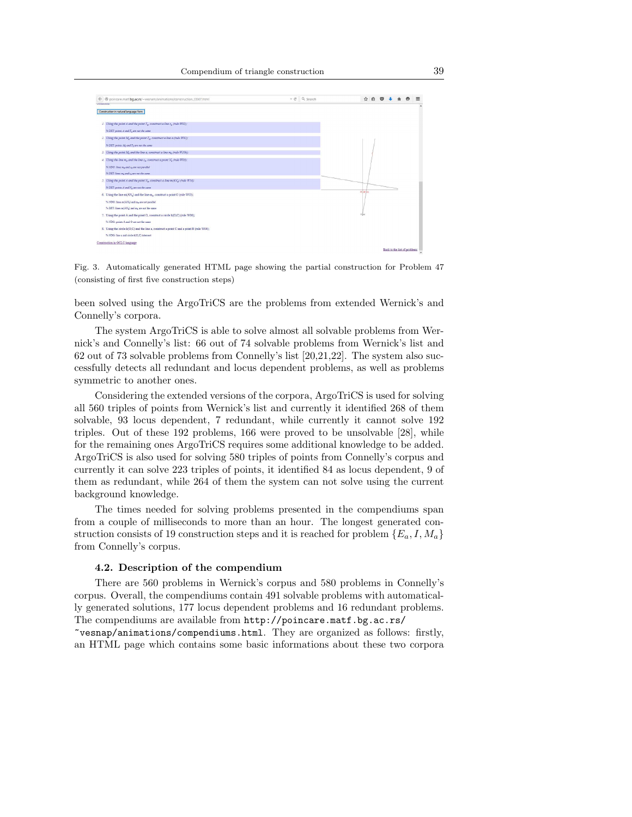

Fig. 3. Automatically generated HTML page showing the partial construction for Problem 47 (consisting of first five construction steps)

been solved using the ArgoTriCS are the problems from extended Wernick's and Connelly's corpora.

The system ArgoTriCS is able to solve almost all solvable problems from Wernick's and Connelly's list: 66 out of 74 solvable problems from Wernick's list and 62 out of 73 solvable problems from Connelly's list [20,21,22]. The system also successfully detects all redundant and locus dependent problems, as well as problems symmetric to another ones.

Considering the extended versions of the corpora, ArgoTriCS is used for solving all 560 triples of points from Wernick's list and currently it identified 268 of them solvable, 93 locus dependent, 7 redundant, while currently it cannot solve 192 triples. Out of these 192 problems, 166 were proved to be unsolvable [28], while for the remaining ones ArgoTriCS requires some additional knowledge to be added. ArgoTriCS is also used for solving 580 triples of points from Connelly's corpus and currently it can solve 223 triples of points, it identified 84 as locus dependent, 9 of them as redundant, while 264 of them the system can not solve using the current background knowledge.

The times needed for solving problems presented in the compendiums span from a couple of milliseconds to more than an hour. The longest generated construction consists of 19 construction steps and it is reached for problem  ${E_a, I, M_a}$ from Connelly's corpus.

#### 4.2. Description of the compendium

There are 560 problems in Wernick's corpus and 580 problems in Connelly's corpus. Overall, the compendiums contain 491 solvable problems with automatically generated solutions, 177 locus dependent problems and 16 redundant problems. The compendiums are available from http://poincare.matf.bg.ac.rs/

~vesnap/animations/compendiums.html. They are organized as follows: firstly, an HTML page which contains some basic informations about these two corpora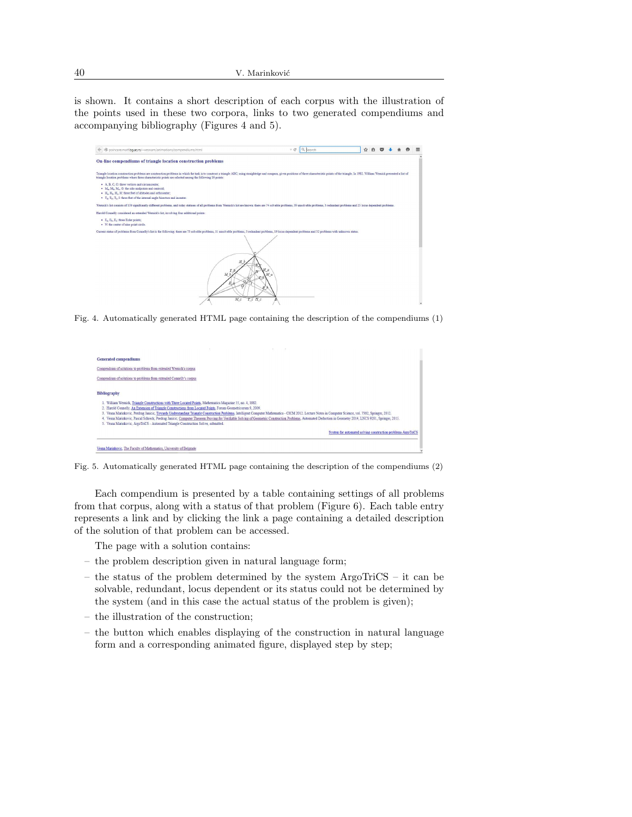is shown. It contains a short description of each corpus with the illustration of the points used in these two corpora, links to two generated compendiums and accompanying bibliography (Figures 4 and 5).

| coincare.matf.bg.ac.rs/~vesnam/animations/compendiums.html                                                                                                                                                                                                                                                                                                         |         | $\tau$ e' $\alpha$ Search | ☆<br>₿ |  |  |
|--------------------------------------------------------------------------------------------------------------------------------------------------------------------------------------------------------------------------------------------------------------------------------------------------------------------------------------------------------------------|---------|---------------------------|--------|--|--|
| On-line compendiums of triangle location construction problems                                                                                                                                                                                                                                                                                                     |         |                           |        |  |  |
| Triangle location construction problems are construction problems in which the task is to construct a triangle ABC, using straightedge and compass, given positions of three characteristic points of the triangle. In 1982. W<br>triangle location problems where three characteristic points are selected among the following 16 points:                         |         |                           |        |  |  |
| • A. B. C. O: three vertices and circumcenter:<br>· M <sub>2</sub> , M <sub>2</sub> , M <sub>2</sub> , G: the side midpoints and centroid;<br>• H <sub>a</sub> , H <sub>a</sub> , H <sub>c</sub> , H: three feet of altitudes and orthocenter;<br>· T <sub>a</sub> , T <sub>b</sub> , T <sub>c</sub> , I: three feet of the internal angle bisectors and incenter. |         |                           |        |  |  |
| Wernick's list consists of 139 significantly different problems, and today statuses of all problems from Wernick's list are known: there are 74 solvable problems, 39 unsolvable problems, 3 redundant problems and 23 locus d                                                                                                                                     |         |                           |        |  |  |
| Harold Connelly considered an extended Wernick's list, involving four additional points:                                                                                                                                                                                                                                                                           |         |                           |        |  |  |
| · E <sub>2</sub> , E <sub>2</sub> , E <sub>2</sub> : three Euler points;<br>· N: the center of nine point circle.                                                                                                                                                                                                                                                  |         |                           |        |  |  |
| Current status of problems from Connelly's list is the following: there are 73 solvable problems, 11 unsolvable problems, 5 redundant problems, 19 locus dependent problems and 32 problems with unknown status.<br>M b<br>Ġ<br>P.                                                                                                                                 | Μa<br>п |                           |        |  |  |
| Mc                                                                                                                                                                                                                                                                                                                                                                 | T c H c |                           |        |  |  |

Fig. 4. Automatically generated HTML page containing the description of the compendiums (1)

| <b>Generated compendiums</b>                                                                                                                                                                                                                                                                                                                                                                                                                                                                                                                                                                                                                                                                                                                                                                                                       |
|------------------------------------------------------------------------------------------------------------------------------------------------------------------------------------------------------------------------------------------------------------------------------------------------------------------------------------------------------------------------------------------------------------------------------------------------------------------------------------------------------------------------------------------------------------------------------------------------------------------------------------------------------------------------------------------------------------------------------------------------------------------------------------------------------------------------------------|
| Compendium of solutions to problems from extended Wernick's corpus                                                                                                                                                                                                                                                                                                                                                                                                                                                                                                                                                                                                                                                                                                                                                                 |
| Compendium of solutions to problems from extended Connelly's corpus                                                                                                                                                                                                                                                                                                                                                                                                                                                                                                                                                                                                                                                                                                                                                                |
| <b>Bibliography</b><br>1. William Wernick, Triangle Constructions with Three Located Points, Mathematics Magazine 55, no. 4, 1982.<br>2. Harold Connelly, An Extension of Triangle Constructions from Located Points. Forum Geometricorum 9, 2009.<br>3. Vesna Marinkovic, Predrag Janicic, Towards Understanding Triangle Construction Problems, Intelligent Computer Mathematics - CICM 2012. Lecture Notes in Computer Science, vol. 7362, Springer, 2012.<br>4. Vesna Marinkovic, Pascal Schreck, Predrag Janicic, Computer Theorem Proving for Verifiable Solving of Geometric Construction Problems, Automated Deduction in Geometry 2014, LNCS 9201, Springer, 2015.<br>5. Vesna Marinkovic, ArgoTriCS - Automated Triangle Construction Solver, submitted.<br>System for automated solving construction problems ArgoTriCS |
|                                                                                                                                                                                                                                                                                                                                                                                                                                                                                                                                                                                                                                                                                                                                                                                                                                    |
| Vesna Marinkovic. The Faculty of Mathematics. University of Belgrade                                                                                                                                                                                                                                                                                                                                                                                                                                                                                                                                                                                                                                                                                                                                                               |

Fig. 5. Automatically generated HTML page containing the description of the compendiums (2)

Each compendium is presented by a table containing settings of all problems from that corpus, along with a status of that problem (Figure 6). Each table entry represents a link and by clicking the link a page containing a detailed description of the solution of that problem can be accessed.

The page with a solution contains:

- the problem description given in natural language form;
- the status of the problem determined by the system ArgoTriCS it can be solvable, redundant, locus dependent or its status could not be determined by the system (and in this case the actual status of the problem is given);
- the illustration of the construction;
- the button which enables displaying of the construction in natural language form and a corresponding animated figure, displayed step by step;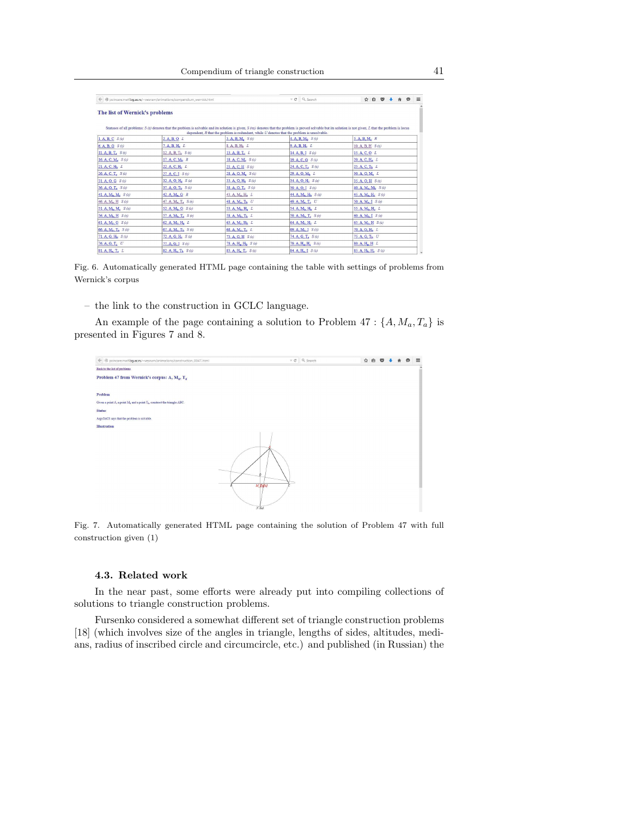| poincare.matf.bq.ac.rs/~vesnam/animations/compendium_wernick.html |                                               |                                                                                                 | $\vee$ C <sup>4</sup> Q <sub>2</sub> Search   | $\bullet$<br>☆ 白<br>$\sim$<br>舍                                                                                                                                                                                 |  |  |  |  |
|-------------------------------------------------------------------|-----------------------------------------------|-------------------------------------------------------------------------------------------------|-----------------------------------------------|-----------------------------------------------------------------------------------------------------------------------------------------------------------------------------------------------------------------|--|--|--|--|
| The list of Wernick's problems                                    |                                               | dependent. $R$ that the problem is redundant, while $U$ denotes that the problem is unsolvable. |                                               | Statuses of all problems: $S(s)$ denotes that the problem is solvable and its solution is given, $S(ns)$ denotes that the problem is proved solvable but its solution is not given, L that the problem is locus |  |  |  |  |
| 1. A, B, C $S(s)$                                                 | 2. A. B. O L                                  | 3. A, B, M, S(s)                                                                                | $4. A, B, Mb$ $S(s)$                          | $5. A, B, M_c, R$                                                                                                                                                                                               |  |  |  |  |
| 6. A, B, G, S(s)                                                  | $7. A, B, H_a$ $L$                            | 8. A, B, H <sub>b</sub> L                                                                       | 9. A, B, H, L                                 | 10. A, B, H S(s)                                                                                                                                                                                                |  |  |  |  |
| 11. A, B, $T_s$ , $S(s)$                                          | 12. A, B, T <sub>b</sub> $S(s)$               | 13. A, B, $T_c$ , L                                                                             | 14. A, B, I $S(s)$                            | 15. A. C. O L                                                                                                                                                                                                   |  |  |  |  |
| 16. A, C, M <sub>a</sub> $S(s)$                                   | 17. A, C, $M_h$ , R                           | 18. A, C, M <sub>c</sub> $S(s)$                                                                 | 19. A. C. G $S(s)$                            | $20. A, C, H_a$ $L$                                                                                                                                                                                             |  |  |  |  |
| 21. A, C, H <sub>b</sub> L                                        | $22. A, C, H_c$ $L$                           | 23. A. C. H S(s)                                                                                | $24. A, C, T_a$ $S(s)$                        | 25. A, C, T <sub>b</sub> L                                                                                                                                                                                      |  |  |  |  |
| $26. A, C, T_c$ $S(s)$<br>27. A. C. I. S(s)                       |                                               | $28. A, O, M2$ $S(s)$                                                                           | $29. A, O, M_b$ L                             | 30. A, O, M, L                                                                                                                                                                                                  |  |  |  |  |
| 32. A, O, H, S(s)<br>31. A. O. G. S(s)                            |                                               | 33. A, O, $H_h$ $S(s)$                                                                          | 34. A, O, H <sub>e</sub> $S(s)$               | 35. A, O, H S(s)                                                                                                                                                                                                |  |  |  |  |
| 36. A, O, T, $S(s)$<br>37. A, O, T <sub>h</sub> S(s)              |                                               | 38. A, O, T <sub>c</sub> $S(s)$                                                                 | 39. A, O, I, S(s)                             | 40. A, $M_a$ , $M_b$ , $S(s)$                                                                                                                                                                                   |  |  |  |  |
| 41. A, $M_a$ , $M_c$ , $S(s)$                                     | $42. A, M_a, G, R$                            | 43. A, $M_a$ , $H_a$ $L$                                                                        | 44. A, $M_{2}$ , $H_{h}$ , $S(s)$             | 45. A, M <sub>a</sub> , H <sub>c</sub> $S(s)$                                                                                                                                                                   |  |  |  |  |
| 46. A, $M_a$ , H $S(s)$                                           | 47. A, M <sub>a</sub> , T <sub>a</sub> $S(s)$ | 48. A, M <sub>a</sub> , T <sub>h</sub> U                                                        | 49. A, M, T <sub>c</sub> U                    | 50. A, $M_a$ , I $S(s)$                                                                                                                                                                                         |  |  |  |  |
| 51. A, $M_h$ , $M_e$ , $S(s)$                                     | 52. A, M <sub>b</sub> , G $S(s)$              | 53. A, M <sub>b</sub> , H <sub>a</sub> L                                                        | 54. A, $M_h$ , $H_h$ $L$                      | 55. A, M <sub>b</sub> , H <sub>c</sub> , L                                                                                                                                                                      |  |  |  |  |
| 56. A, $M_h$ , H $S(s)$                                           | 57. A, $M_h$ , $T_a$ , $S(s)$                 | 58. A. M., T. L                                                                                 | 59. A, M <sub>b</sub> , T <sub>c</sub> $S(s)$ | 60. A, $M_h$ , I $S(s)$                                                                                                                                                                                         |  |  |  |  |
| 61. A, M <sub>c</sub> , G $S(s)$                                  | 62. A, $M_c$ , $H_a$ , $L$                    | 63. A, $M_e$ , $H_h$ $L$                                                                        | $64.$ A, M <sub>c</sub> , H <sub>c</sub> L    | 65. A, M <sub>c</sub> , H $S(s)$                                                                                                                                                                                |  |  |  |  |
| 66. A, M <sub>c</sub> , T <sub>n</sub> $S(s)$                     | $67. A, M_c, T_b$ $S(s)$                      | 68. A, M <sub>c</sub> , T <sub>c</sub> L                                                        | 69. A, $M_c$ , I $S(s)$                       | 70. A, G, H <sub>2</sub> L                                                                                                                                                                                      |  |  |  |  |
| 71. A, G, $H_b$ , $S(s)$<br>$72. A, G, H_c$ , $S(s)$              |                                               | $73. A, G, H$ $S(s)$                                                                            | 74. A, G, T, $S(s)$                           | 75. A, G, T <sub>h</sub> U                                                                                                                                                                                      |  |  |  |  |
| $76. A, G, T_c$ U<br>77. A. G. I S(s)                             |                                               | 78. A, H <sub>a</sub> , H <sub>b</sub> $S(s)$                                                   | 79. A, $H_a$ , $H_c$ , $S(s)$                 | 80. A, H, H L                                                                                                                                                                                                   |  |  |  |  |
| 81. A. H., T. L                                                   | 82. A, $H_a$ , $T_b$ , $S(s)$                 | <b>83.</b> A, H <sub>2</sub> , T <sub>c</sub> $S(z)$                                            | 84. A, $H_a$ , $I$ $S$ (s)                    | 85. A, $H_h$ , $H_c$ , $S(s)$                                                                                                                                                                                   |  |  |  |  |

Fig. 6. Automatically generated HTML page containing the table with settings of problems from Wernick's corpus

– the link to the construction in GCLC language.

An example of the page containing a solution to Problem 47 :  $\{A, M_a, T_a\}$  is presented in Figures 7 and 8.



Fig. 7. Automatically generated HTML page containing the solution of Problem 47 with full construction given (1)

### 4.3. Related work

In the near past, some efforts were already put into compiling collections of solutions to triangle construction problems.

Fursenko considered a somewhat different set of triangle construction problems [18] (which involves size of the angles in triangle, lengths of sides, altitudes, medians, radius of inscribed circle and circumcircle, etc.) and published (in Russian) the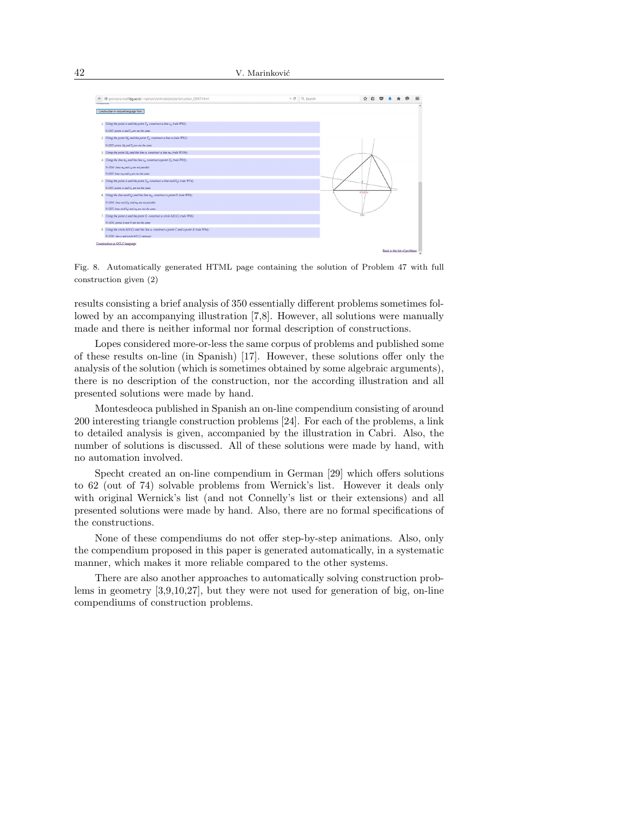

Fig. 8. Automatically generated HTML page containing the solution of Problem 47 with full construction given (2)

results consisting a brief analysis of 350 essentially different problems sometimes followed by an accompanying illustration [7,8]. However, all solutions were manually made and there is neither informal nor formal description of constructions.

Lopes considered more-or-less the same corpus of problems and published some of these results on-line (in Spanish) [17]. However, these solutions offer only the analysis of the solution (which is sometimes obtained by some algebraic arguments), there is no description of the construction, nor the according illustration and all presented solutions were made by hand.

Montesdeoca published in Spanish an on-line compendium consisting of around 200 interesting triangle construction problems [24]. For each of the problems, a link to detailed analysis is given, accompanied by the illustration in Cabri. Also, the number of solutions is discussed. All of these solutions were made by hand, with no automation involved.

Specht created an on-line compendium in German [29] which offers solutions to 62 (out of 74) solvable problems from Wernick's list. However it deals only with original Wernick's list (and not Connelly's list or their extensions) and all presented solutions were made by hand. Also, there are no formal specifications of the constructions.

None of these compendiums do not offer step-by-step animations. Also, only the compendium proposed in this paper is generated automatically, in a systematic manner, which makes it more reliable compared to the other systems.

There are also another approaches to automatically solving construction problems in geometry [3,9,10,27], but they were not used for generation of big, on-line compendiums of construction problems.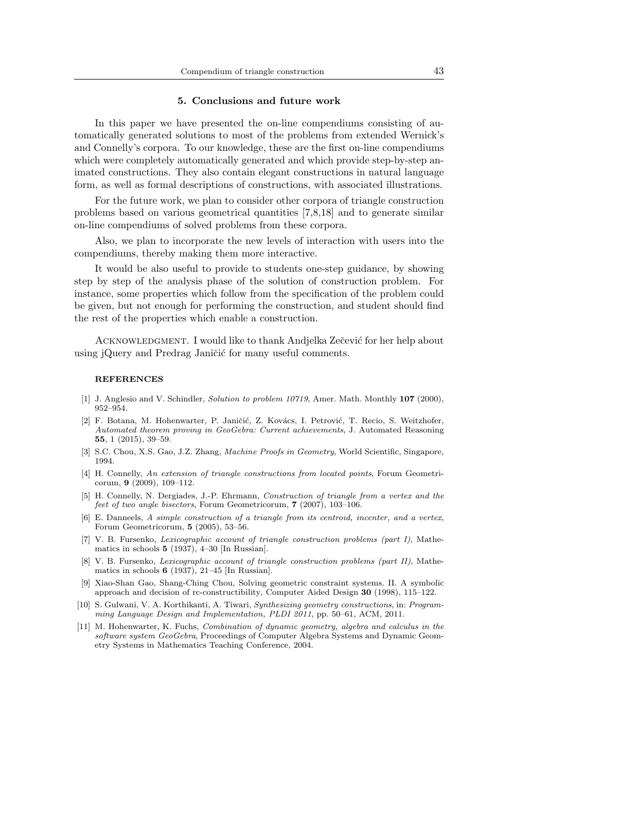#### 5. Conclusions and future work

In this paper we have presented the on-line compendiums consisting of automatically generated solutions to most of the problems from extended Wernick's and Connelly's corpora. To our knowledge, these are the first on-line compendiums which were completely automatically generated and which provide step-by-step animated constructions. They also contain elegant constructions in natural language form, as well as formal descriptions of constructions, with associated illustrations.

For the future work, we plan to consider other corpora of triangle construction problems based on various geometrical quantities [7,8,18] and to generate similar on-line compendiums of solved problems from these corpora.

Also, we plan to incorporate the new levels of interaction with users into the compendiums, thereby making them more interactive.

It would be also useful to provide to students one-step guidance, by showing step by step of the analysis phase of the solution of construction problem. For instance, some properties which follow from the specification of the problem could be given, but not enough for performing the construction, and student should find the rest of the properties which enable a construction.

ACKNOWLEDGMENT. I would like to thank Andjelka Zečević for her help about using jQuery and Predrag Janičić for many useful comments.

#### **REFERENCES**

- [1] J. Anglesio and V. Schindler, Solution to problem 10719, Amer. Math. Monthly 107 (2000), 952–954.
- [2] F. Botana, M. Hohenwarter, P. Janičić, Z. Kovács, I. Petrović, T. Recio, S. Weitzhofer, Automated theorem proving in GeoGebra: Current achievements, J. Automated Reasoning 55, 1 (2015), 39–59.
- [3] S.C. Chou, X.S. Gao, J.Z. Zhang, Machine Proofs in Geometry, World Scientific, Singapore, 1994.
- [4] H. Connelly, An extension of triangle constructions from located points, Forum Geometricorum, 9 (2009), 109–112.
- [5] H. Connelly, N. Dergiades, J.-P. Ehrmann, Construction of triangle from a vertex and the feet of two angle bisectors, Forum Geometricorum, 7 (2007), 103–106.
- E. Danneels, A simple construction of a triangle from its centroid, incenter, and a vertex, Forum Geometricorum, 5 (2005), 53–56.
- [7] V. B. Fursenko, Lexicographic account of triangle construction problems (part I), Mathematics in schools  $5$  (1937), 4–30 [In Russian].
- [8] V. B. Fursenko, *Lexicographic account of triangle construction problems (part II)*, Mathematics in schools  $6$  (1937), 21–45 [In Russian].
- [9] Xiao-Shan Gao, Shang-Ching Chou, Solving geometric constraint systems. II. A symbolic approach and decision of rc-constructibility, Computer Aided Design 30 (1998), 115–122.
- [10] S. Gulwani, V. A. Korthikanti, A. Tiwari, Synthesizing geometry constructions, in: Programming Language Design and Implementation, PLDI 2011, pp. 50–61, ACM, 2011.
- [11] M. Hohenwarter, K. Fuchs, Combination of dynamic geometry, algebra and calculus in the software system GeoGebra, Proceedings of Computer Algebra Systems and Dynamic Geometry Systems in Mathematics Teaching Conference, 2004.